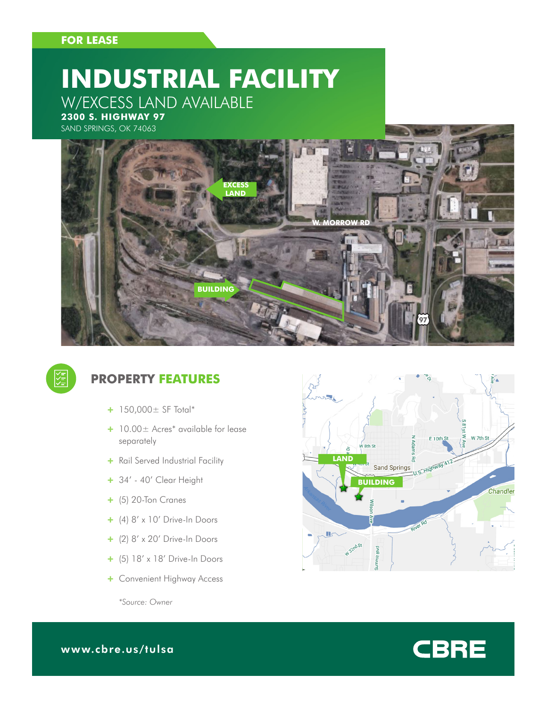### **FOR LEASE**

# **INDUSTRIAL FACILITY** W/EXCESS LAND AVAILABLE

**2300 S. HIGHWAY 97**







### **PROPERTY FEATURES**

- + 150,000± SF Total\*
- + 10.00± Acres\* available for lease separately
- + Rail Served Industrial Facility
- + 34' 40' Clear Height
- + (5) 20-Ton Cranes
- + (4) 8' x 10' Drive-In Doors
- + (2) 8' x 20' Drive-In Doors
- + (5) 18' x 18' Drive-In Doors
- + Convenient Highway Access

W 7th St  $E$  10th St v<br>8th St **LAND** ਨ੍ਹ Sand Springs U.S. Highway 41 **BUILDING** Chandler W<sup>32nd St</sup>

**CBRE** 

*\*Source: Owner*

www.cbre.us/tulsa